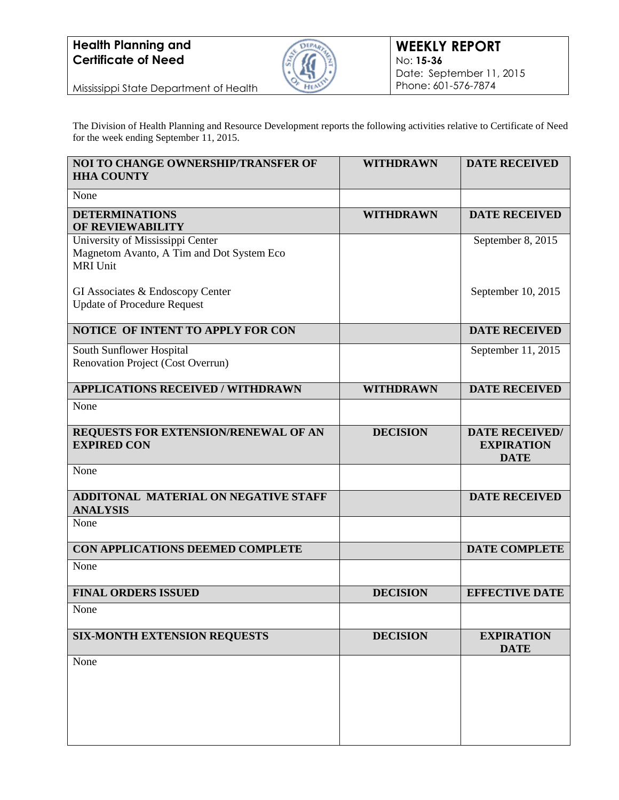

Mississippi State Department of Health

The Division of Health Planning and Resource Development reports the following activities relative to Certificate of Need for the week ending September 11, 2015.

| <b>NOI TO CHANGE OWNERSHIP/TRANSFER OF</b><br><b>HHA COUNTY</b>                                  | <b>WITHDRAWN</b> | <b>DATE RECEIVED</b>                                      |
|--------------------------------------------------------------------------------------------------|------------------|-----------------------------------------------------------|
| None                                                                                             |                  |                                                           |
| <b>DETERMINATIONS</b><br>OF REVIEWABILITY                                                        | <b>WITHDRAWN</b> | <b>DATE RECEIVED</b>                                      |
| University of Mississippi Center<br>Magnetom Avanto, A Tim and Dot System Eco<br><b>MRI Unit</b> |                  | September 8, 2015                                         |
| GI Associates & Endoscopy Center<br><b>Update of Procedure Request</b>                           |                  | September 10, 2015                                        |
| NOTICE OF INTENT TO APPLY FOR CON                                                                |                  | <b>DATE RECEIVED</b>                                      |
| South Sunflower Hospital<br>Renovation Project (Cost Overrun)                                    |                  | September 11, 2015                                        |
| <b>APPLICATIONS RECEIVED / WITHDRAWN</b>                                                         | <b>WITHDRAWN</b> | <b>DATE RECEIVED</b>                                      |
| None                                                                                             |                  |                                                           |
| REQUESTS FOR EXTENSION/RENEWAL OF AN<br><b>EXPIRED CON</b>                                       | <b>DECISION</b>  | <b>DATE RECEIVED/</b><br><b>EXPIRATION</b><br><b>DATE</b> |
| None                                                                                             |                  |                                                           |
| ADDITONAL MATERIAL ON NEGATIVE STAFF<br><b>ANALYSIS</b>                                          |                  | <b>DATE RECEIVED</b>                                      |
| None                                                                                             |                  |                                                           |
| CON APPLICATIONS DEEMED COMPLETE                                                                 |                  | <b>DATE COMPLETE</b>                                      |
| None                                                                                             |                  |                                                           |
| <b>FINAL ORDERS ISSUED</b>                                                                       | <b>DECISION</b>  | <b>EFFECTIVE DATE</b>                                     |
| None                                                                                             |                  |                                                           |
| <b>SIX-MONTH EXTENSION REQUESTS</b>                                                              | <b>DECISION</b>  | <b>EXPIRATION</b><br><b>DATE</b>                          |
| None                                                                                             |                  |                                                           |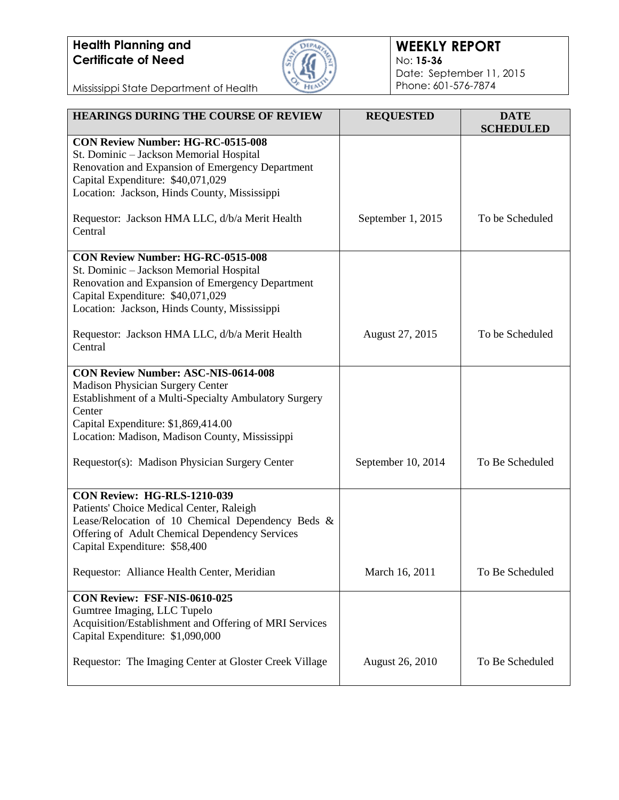

#### **WEEKLY REPORT** No: **15-36** Date: September 11, 2015 Phone: 601-576-7874

Mississippi State Department of Health

| <b>HEARINGS DURING THE COURSE OF REVIEW</b>                                                                                                                                                                                                | <b>REQUESTED</b>       | <b>DATE</b><br><b>SCHEDULED</b> |
|--------------------------------------------------------------------------------------------------------------------------------------------------------------------------------------------------------------------------------------------|------------------------|---------------------------------|
| <b>CON Review Number: HG-RC-0515-008</b><br>St. Dominic - Jackson Memorial Hospital<br>Renovation and Expansion of Emergency Department<br>Capital Expenditure: \$40,071,029<br>Location: Jackson, Hinds County, Mississippi               |                        |                                 |
| Requestor: Jackson HMA LLC, d/b/a Merit Health<br>Central                                                                                                                                                                                  | September 1, 2015      | To be Scheduled                 |
| <b>CON Review Number: HG-RC-0515-008</b><br>St. Dominic - Jackson Memorial Hospital<br>Renovation and Expansion of Emergency Department<br>Capital Expenditure: \$40,071,029<br>Location: Jackson, Hinds County, Mississippi               |                        |                                 |
| Requestor: Jackson HMA LLC, d/b/a Merit Health<br>Central                                                                                                                                                                                  | August 27, 2015        | To be Scheduled                 |
| <b>CON Review Number: ASC-NIS-0614-008</b><br>Madison Physician Surgery Center<br>Establishment of a Multi-Specialty Ambulatory Surgery<br>Center<br>Capital Expenditure: \$1,869,414.00<br>Location: Madison, Madison County, Mississippi |                        |                                 |
| Requestor(s): Madison Physician Surgery Center                                                                                                                                                                                             | September 10, 2014     | To Be Scheduled                 |
| CON Review: HG-RLS-1210-039<br>Patients' Choice Medical Center, Raleigh<br>Lease/Relocation of 10 Chemical Dependency Beds &<br>Offering of Adult Chemical Dependency Services<br>Capital Expenditure: \$58,400                            |                        |                                 |
| Requestor: Alliance Health Center, Meridian                                                                                                                                                                                                | March 16, 2011         | To Be Scheduled                 |
| CON Review: FSF-NIS-0610-025<br>Gumtree Imaging, LLC Tupelo<br>Acquisition/Establishment and Offering of MRI Services<br>Capital Expenditure: \$1,090,000                                                                                  |                        |                                 |
| Requestor: The Imaging Center at Gloster Creek Village                                                                                                                                                                                     | <b>August 26, 2010</b> | To Be Scheduled                 |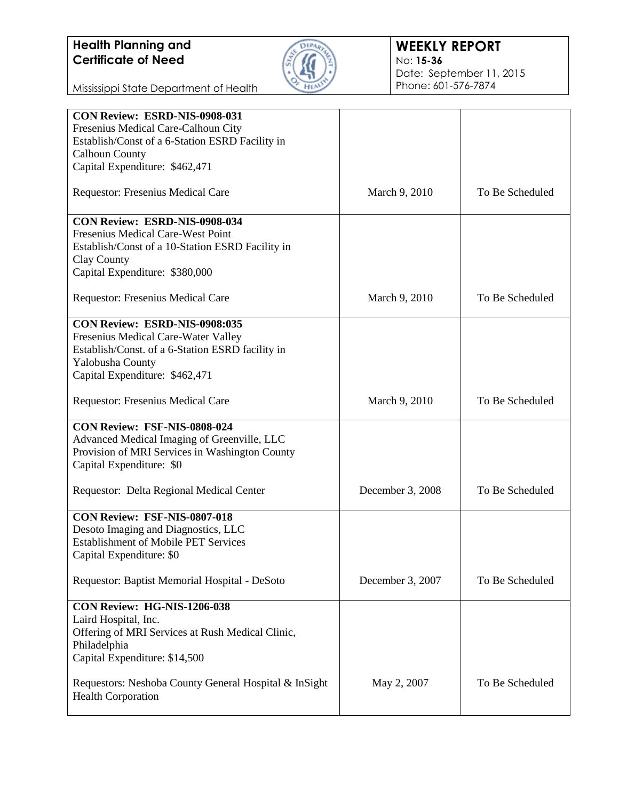

#### **WEEKLY REPORT** No: **15-36** Date: September 11, 2015 Phone: 601-576-7874

Mississippi State Department of Health

| CON Review: ESRD-NIS-0908-031                         |                  |                 |
|-------------------------------------------------------|------------------|-----------------|
| Fresenius Medical Care-Calhoun City                   |                  |                 |
| Establish/Const of a 6-Station ESRD Facility in       |                  |                 |
| <b>Calhoun County</b>                                 |                  |                 |
| Capital Expenditure: \$462,471                        |                  |                 |
|                                                       |                  |                 |
| Requestor: Fresenius Medical Care                     | March 9, 2010    | To Be Scheduled |
| <b>CON Review: ESRD-NIS-0908-034</b>                  |                  |                 |
| Fresenius Medical Care-West Point                     |                  |                 |
| Establish/Const of a 10-Station ESRD Facility in      |                  |                 |
| Clay County                                           |                  |                 |
| Capital Expenditure: \$380,000                        |                  |                 |
|                                                       |                  |                 |
| Requestor: Fresenius Medical Care                     | March 9, 2010    | To Be Scheduled |
| CON Review: ESRD-NIS-0908:035                         |                  |                 |
| Fresenius Medical Care-Water Valley                   |                  |                 |
| Establish/Const. of a 6-Station ESRD facility in      |                  |                 |
| Yalobusha County                                      |                  |                 |
| Capital Expenditure: \$462,471                        |                  |                 |
|                                                       |                  |                 |
| Requestor: Fresenius Medical Care                     | March 9, 2010    | To Be Scheduled |
| CON Review: FSF-NIS-0808-024                          |                  |                 |
| Advanced Medical Imaging of Greenville, LLC           |                  |                 |
| Provision of MRI Services in Washington County        |                  |                 |
| Capital Expenditure: \$0                              |                  |                 |
|                                                       |                  |                 |
| Requestor: Delta Regional Medical Center              | December 3, 2008 | To Be Scheduled |
|                                                       |                  |                 |
| CON Review: FSF-NIS-0807-018                          |                  |                 |
| Desoto Imaging and Diagnostics, LLC                   |                  |                 |
| <b>Establishment of Mobile PET Services</b>           |                  |                 |
| Capital Expenditure: \$0                              |                  |                 |
|                                                       |                  |                 |
| Requestor: Baptist Memorial Hospital - DeSoto         | December 3, 2007 | To Be Scheduled |
|                                                       |                  |                 |
| CON Review: HG-NIS-1206-038                           |                  |                 |
| Laird Hospital, Inc.                                  |                  |                 |
| Offering of MRI Services at Rush Medical Clinic,      |                  |                 |
| Philadelphia                                          |                  |                 |
| Capital Expenditure: \$14,500                         |                  |                 |
|                                                       |                  |                 |
| Requestors: Neshoba County General Hospital & InSight | May 2, 2007      | To Be Scheduled |
| <b>Health Corporation</b>                             |                  |                 |
|                                                       |                  |                 |